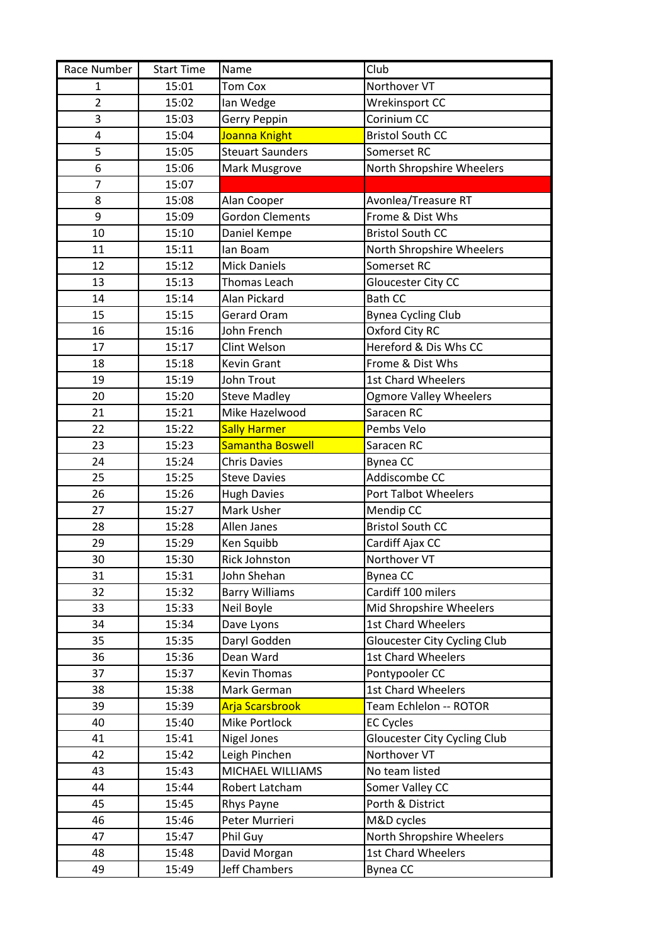| Race Number    | <b>Start Time</b> | Name                    | Club                                |
|----------------|-------------------|-------------------------|-------------------------------------|
| 1              | 15:01             | <b>Tom Cox</b>          | Northover VT                        |
| $\overline{2}$ | 15:02             | Ian Wedge               | <b>Wrekinsport CC</b>               |
| 3              | 15:03             | Gerry Peppin            | Corinium CC                         |
| 4              | 15:04             | Joanna Knight           | <b>Bristol South CC</b>             |
| 5              | 15:05             | <b>Steuart Saunders</b> | Somerset RC                         |
| 6              | 15:06             | Mark Musgrove           | North Shropshire Wheelers           |
| $\overline{7}$ | 15:07             |                         |                                     |
| 8              | 15:08             | Alan Cooper             | Avonlea/Treasure RT                 |
| 9              | 15:09             | <b>Gordon Clements</b>  | Frome & Dist Whs                    |
| 10             | 15:10             | Daniel Kempe            | <b>Bristol South CC</b>             |
| 11             | 15:11             | lan Boam                | North Shropshire Wheelers           |
| 12             | 15:12             | <b>Mick Daniels</b>     | Somerset RC                         |
| 13             | 15:13             | Thomas Leach            | Gloucester City CC                  |
| 14             | 15:14             | Alan Pickard            | <b>Bath CC</b>                      |
| 15             | 15:15             | Gerard Oram             | <b>Bynea Cycling Club</b>           |
| 16             | 15:16             | John French             | Oxford City RC                      |
| 17             | 15:17             | Clint Welson            | Hereford & Dis Whs CC               |
| 18             | 15:18             | <b>Kevin Grant</b>      | Frome & Dist Whs                    |
| 19             | 15:19             | John Trout              | <b>1st Chard Wheelers</b>           |
| 20             | 15:20             | <b>Steve Madley</b>     | <b>Ogmore Valley Wheelers</b>       |
| 21             | 15:21             | Mike Hazelwood          | Saracen RC                          |
| 22             | 15:22             | <b>Sally Harmer</b>     | Pembs Velo                          |
| 23             | 15:23             | <b>Samantha Boswell</b> | Saracen RC                          |
| 24             | 15:24             | <b>Chris Davies</b>     | <b>Bynea CC</b>                     |
| 25             | 15:25             | <b>Steve Davies</b>     | Addiscombe CC                       |
| 26             | 15:26             | <b>Hugh Davies</b>      | Port Talbot Wheelers                |
| 27             | 15:27             | Mark Usher              | Mendip CC                           |
| 28             | 15:28             | Allen Janes             | <b>Bristol South CC</b>             |
| 29             | 15:29             | Ken Squibb              | Cardiff Ajax CC                     |
| 30             | 15:30             | Rick Johnston           | Northover VT                        |
| 31             | 15:31             | John Shehan             | <b>Bynea CC</b>                     |
| 32             | 15:32             | <b>Barry Williams</b>   | Cardiff 100 milers                  |
| 33             | 15:33             | Neil Boyle              | Mid Shropshire Wheelers             |
| 34             | 15:34             | Dave Lyons              | <b>1st Chard Wheelers</b>           |
| 35             | 15:35             | Daryl Godden            | <b>Gloucester City Cycling Club</b> |
| 36             | 15:36             | Dean Ward               | <b>1st Chard Wheelers</b>           |
| 37             | 15:37             | <b>Kevin Thomas</b>     | Pontypooler CC                      |
| 38             | 15:38             | Mark German             | 1st Chard Wheelers                  |
| 39             | 15:39             | <b>Arja Scarsbrook</b>  | Team Echlelon -- ROTOR              |
| 40             | 15:40             | Mike Portlock           | <b>EC Cycles</b>                    |
| 41             | 15:41             | <b>Nigel Jones</b>      | <b>Gloucester City Cycling Club</b> |
| 42             | 15:42             | Leigh Pinchen           | Northover VT                        |
| 43             | 15:43             | MICHAEL WILLIAMS        | No team listed                      |
| 44             | 15:44             | Robert Latcham          | Somer Valley CC                     |
| 45             | 15:45             | Rhys Payne              | Porth & District                    |
| 46             | 15:46             | Peter Murrieri          | M&D cycles                          |
| 47             | 15:47             | Phil Guy                | North Shropshire Wheelers           |
| 48             | 15:48             | David Morgan            | 1st Chard Wheelers                  |
| 49             | 15:49             | <b>Jeff Chambers</b>    | Bynea CC                            |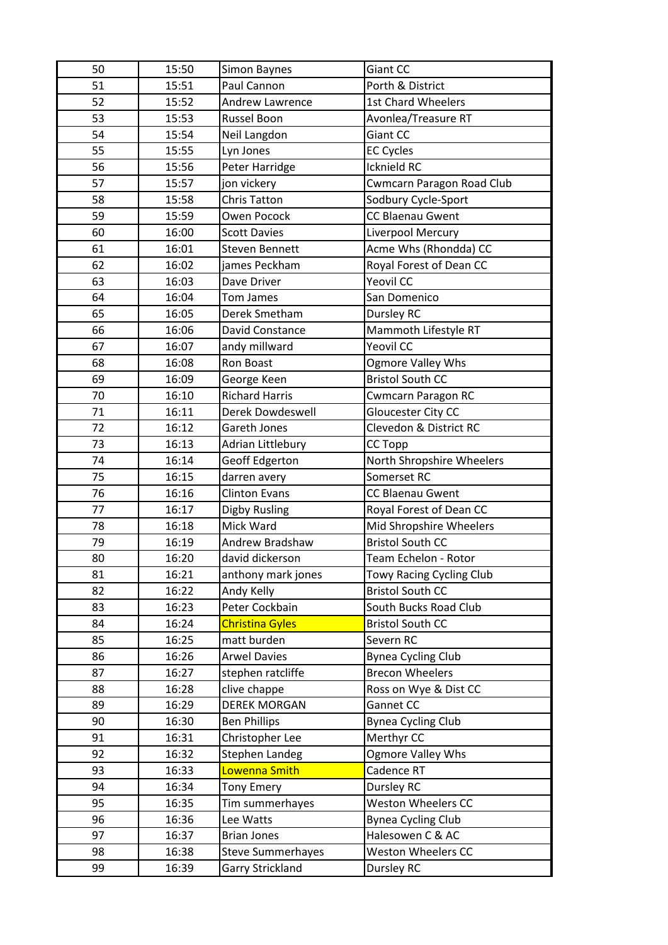| 50 | 15:50 | Simon Baynes             | Giant CC                         |
|----|-------|--------------------------|----------------------------------|
| 51 | 15:51 | Paul Cannon              | Porth & District                 |
| 52 | 15:52 | <b>Andrew Lawrence</b>   | <b>1st Chard Wheelers</b>        |
| 53 | 15:53 | Russel Boon              | Avonlea/Treasure RT              |
| 54 | 15:54 | Neil Langdon             | Giant CC                         |
| 55 | 15:55 | Lyn Jones                | <b>EC Cycles</b>                 |
| 56 | 15:56 | Peter Harridge           | Icknield RC                      |
| 57 | 15:57 | jon vickery              | <b>Cwmcarn Paragon Road Club</b> |
| 58 | 15:58 | <b>Chris Tatton</b>      | Sodbury Cycle-Sport              |
| 59 | 15:59 | Owen Pocock              | <b>CC Blaenau Gwent</b>          |
| 60 | 16:00 | <b>Scott Davies</b>      | Liverpool Mercury                |
| 61 | 16:01 | <b>Steven Bennett</b>    | Acme Whs (Rhondda) CC            |
| 62 | 16:02 | james Peckham            | Royal Forest of Dean CC          |
| 63 | 16:03 | Dave Driver              | <b>Yeovil CC</b>                 |
| 64 | 16:04 | <b>Tom James</b>         | San Domenico                     |
| 65 | 16:05 | Derek Smetham            | Dursley RC                       |
| 66 | 16:06 | David Constance          | Mammoth Lifestyle RT             |
| 67 | 16:07 | andy millward            | <b>Yeovil CC</b>                 |
| 68 | 16:08 | Ron Boast                | <b>Ogmore Valley Whs</b>         |
| 69 | 16:09 | George Keen              | <b>Bristol South CC</b>          |
| 70 | 16:10 | <b>Richard Harris</b>    | <b>Cwmcarn Paragon RC</b>        |
| 71 | 16:11 | <b>Derek Dowdeswell</b>  | Gloucester City CC               |
| 72 | 16:12 | Gareth Jones             | Clevedon & District RC           |
| 73 | 16:13 | Adrian Littlebury        | <b>CC Topp</b>                   |
| 74 | 16:14 | <b>Geoff Edgerton</b>    | North Shropshire Wheelers        |
| 75 | 16:15 | darren avery             | Somerset RC                      |
| 76 | 16:16 | <b>Clinton Evans</b>     | <b>CC Blaenau Gwent</b>          |
| 77 | 16:17 | Digby Rusling            | Royal Forest of Dean CC          |
| 78 | 16:18 | Mick Ward                | Mid Shropshire Wheelers          |
| 79 | 16:19 | Andrew Bradshaw          | <b>Bristol South CC</b>          |
| 80 | 16:20 | david dickerson          | Team Echelon - Rotor             |
| 81 | 16:21 | anthony mark jones       | <b>Towy Racing Cycling Club</b>  |
| 82 | 16:22 | Andy Kelly               | <b>Bristol South CC</b>          |
| 83 | 16:23 | Peter Cockbain           | South Bucks Road Club            |
| 84 | 16:24 | <b>Christina Gyles</b>   | <b>Bristol South CC</b>          |
| 85 | 16:25 | matt burden              | Severn RC                        |
| 86 | 16:26 | <b>Arwel Davies</b>      | <b>Bynea Cycling Club</b>        |
| 87 | 16:27 | stephen ratcliffe        | <b>Brecon Wheelers</b>           |
| 88 | 16:28 | clive chappe             | Ross on Wye & Dist CC            |
| 89 | 16:29 | <b>DEREK MORGAN</b>      | Gannet CC                        |
| 90 | 16:30 | <b>Ben Phillips</b>      | <b>Bynea Cycling Club</b>        |
| 91 | 16:31 | Christopher Lee          | Merthyr CC                       |
| 92 | 16:32 | Stephen Landeg           | Ogmore Valley Whs                |
| 93 | 16:33 | Lowenna Smith            | Cadence RT                       |
| 94 | 16:34 | <b>Tony Emery</b>        | <b>Dursley RC</b>                |
| 95 | 16:35 | Tim summerhayes          | Weston Wheelers CC               |
| 96 | 16:36 | Lee Watts                | <b>Bynea Cycling Club</b>        |
| 97 | 16:37 | <b>Brian Jones</b>       | Halesowen C & AC                 |
| 98 | 16:38 | <b>Steve Summerhayes</b> | <b>Weston Wheelers CC</b>        |
| 99 | 16:39 | Garry Strickland         | Dursley RC                       |